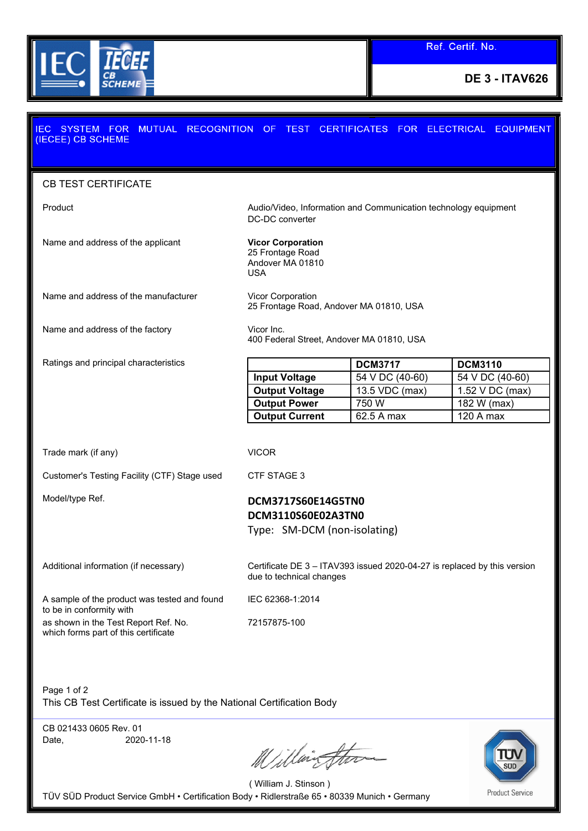

## IEC SYSTEM FOR MUTUAL RECOGNITION OF TEST CERTIFICATES FOR ELECTRICAL EQUIPMENT (IECEE) CB SCHEME CB TEST CERTIFICATE Product Audio/Video, Information and Communication technology equipment DC-DC converter Name and address of the applicant **Vicor Corporation** 25 Frontage Road Andover MA 01810 USA Name and address of the manufacturer Vicor Corporation 25 Frontage Road, Andover MA 01810, USA Name and address of the factory Vicor Inc. 400 Federal Street, Andover MA 01810, USA Ratings and principal characteristics **DCM3717 DCM3110 Input Voltage** | 54 V DC (40-60) | 54 V DC (40-60) **Output Voltage** 13.5 VDC (max) 1.52 V DC (max) **Output Power** 750 W 182 W (max) **Output Current** 62.5 A max 120 A max Trade mark (if any) VICOR Customer's Testing Facility (CTF) Stage used CTF STAGE 3 Model/type Ref. **DCM3717S60E14G5TN0 DCM3110S60E02A3TN0** Type: SM-DCM (non-isolating) Additional information (if necessary) Certificate DE 3 – ITAV393 issued 2020-04-27 is replaced by this version due to technical changes A sample of the product was tested and found IEC 62368-1:2014 to be in conformity with as shown in the Test Report Ref. No. 72157875-100which forms part of this certificate

Page 1 of 2 This CB Test Certificate is issued by the National Certification Body

CB 021433 0605 Rev. 01 Date, 2020-11-18

Willington



( William J. Stinson ) TÜV SÜD Product Service GmbH • Certification Body • Ridlerstraße 65 • 80339 Munich • Germany